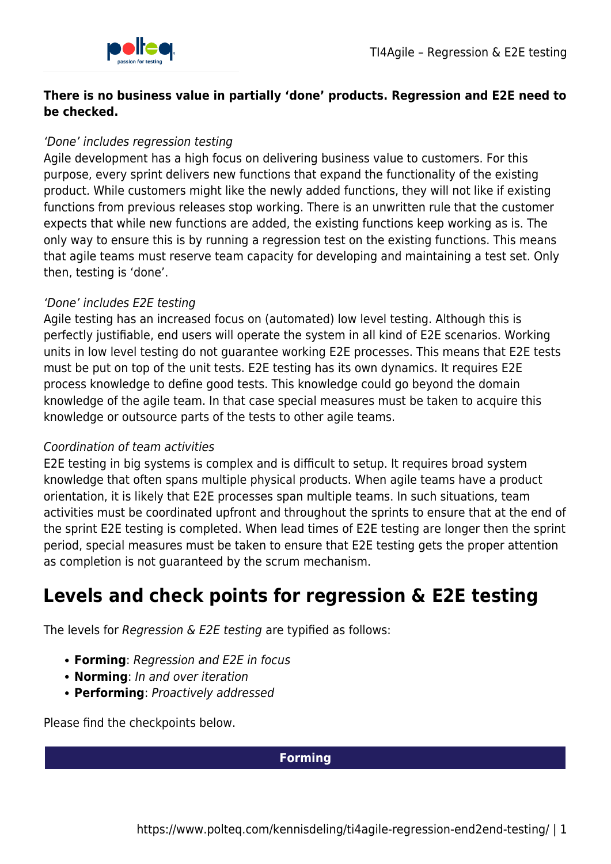

## **There is no business value in partially 'done' products. Regression and E2E need to be checked.**

## 'Done' includes regression testing

Agile development has a high focus on delivering business value to customers. For this purpose, every sprint delivers new functions that expand the functionality of the existing product. While customers might like the newly added functions, they will not like if existing functions from previous releases stop working. There is an unwritten rule that the customer expects that while new functions are added, the existing functions keep working as is. The only way to ensure this is by running a regression test on the existing functions. This means that agile teams must reserve team capacity for developing and maintaining a test set. Only then, testing is 'done'.

## 'Done' includes E2E testing

Agile testing has an increased focus on (automated) low level testing. Although this is perfectly justifiable, end users will operate the system in all kind of E2E scenarios. Working units in low level testing do not guarantee working E2E processes. This means that E2E tests must be put on top of the unit tests. E2E testing has its own dynamics. It requires E2E process knowledge to define good tests. This knowledge could go beyond the domain knowledge of the agile team. In that case special measures must be taken to acquire this knowledge or outsource parts of the tests to other agile teams.

## Coordination of team activities

E2E testing in big systems is complex and is difficult to setup. It requires broad system knowledge that often spans multiple physical products. When agile teams have a product orientation, it is likely that E2E processes span multiple teams. In such situations, team activities must be coordinated upfront and throughout the sprints to ensure that at the end of the sprint E2E testing is completed. When lead times of E2E testing are longer then the sprint period, special measures must be taken to ensure that E2E testing gets the proper attention as completion is not guaranteed by the scrum mechanism.

# **Levels and check points for regression & E2E testing**

The levels for Regression & E2E testing are typified as follows:

- **Forming**: Regression and E2E in focus
- **Norming**: In and over iteration
- **Performing**: Proactively addressed

Please find the checkpoints below.

### **Forming**